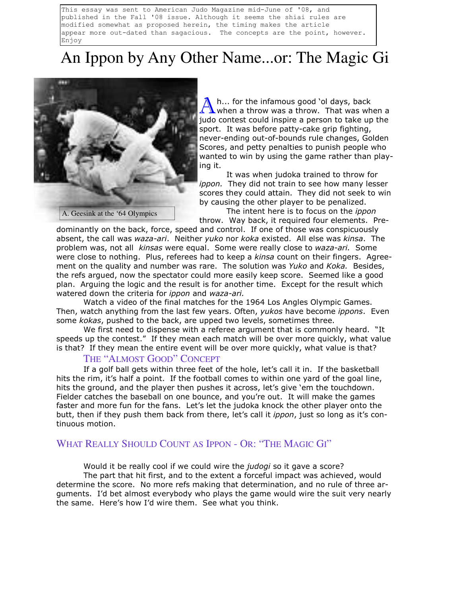This essay was sent to American Judo Magazine mid-June of '08, and published in the Fall '08 issue. Although it seems the shiai rules are modified somewhat as proposed herein, the timing makes the article appear more out-dated than sagacious. The concepts are the point, however. Enjoy

# An Ippon by Any Other Name...or: The Magic Gi



h... for the infamous good 'ol days, back  $\Lambda$  when a throw was a throw. That was when a judo contest could inspire a person to take up the sport. It was before patty-cake grip fighting, never-ending out-of-bounds rule changes, Golden Scores, and petty penalties to punish people who wanted to win by using the game rather than playing it.

 It was when judoka trained to throw for ippon. They did not train to see how many lesser scores they could attain. They did not seek to win by causing the other player to be penalized. The intent here is to focus on the *ippon* 

throw. Way back, it required four elements. Predominantly on the back, force, speed and control. If one of those was conspicuously absent, the call was waza-ari. Neither yuko nor koka existed. All else was kinsa. The problem was, not all kinsas were equal. Some were really close to waza-ari. Some were close to nothing. Plus, referees had to keep a kinsa count on their fingers. Agreement on the quality and number was rare. The solution was Yuko and Koka. Besides, the refs argued, now the spectator could more easily keep score. Seemed like a good plan. Arguing the logic and the result is for another time. Except for the result which watered down the criteria for *ippon* and waza-ari.

Watch a video of the final matches for the 1964 Los Angles Olympic Games. Then, watch anything from the last few years. Often, *yukos* have become *ippons*. Even some kokas, pushed to the back, are upped two levels, sometimes three.

We first need to dispense with a referee argument that is commonly heard. "It speeds up the contest." If they mean each match will be over more quickly, what value is that? If they mean the entire event will be over more quickly, what value is that?

## THE "ALMOST GOOD" CONCEPT

 If a golf ball gets within three feet of the hole, let's call it in. If the basketball hits the rim, it's half a point. If the football comes to within one yard of the goal line, hits the ground, and the player then pushes it across, let's give 'em the touchdown. Fielder catches the baseball on one bounce, and you're out. It will make the games faster and more fun for the fans. Let's let the judoka knock the other player onto the butt, then if they push them back from there, let's call it ippon, just so long as it's continuous motion.

# WHAT REALLY SHOULD COUNT AS IPPON - OR: "THE MAGIC GI"

Would it be really cool if we could wire the *judogi* so it gave a score?

 The part that hit first, and to the extent a forceful impact was achieved, would determine the score. No more refs making that determination, and no rule of three arguments. I'd bet almost everybody who plays the game would wire the suit very nearly the same. Here's how I'd wire them. See what you think.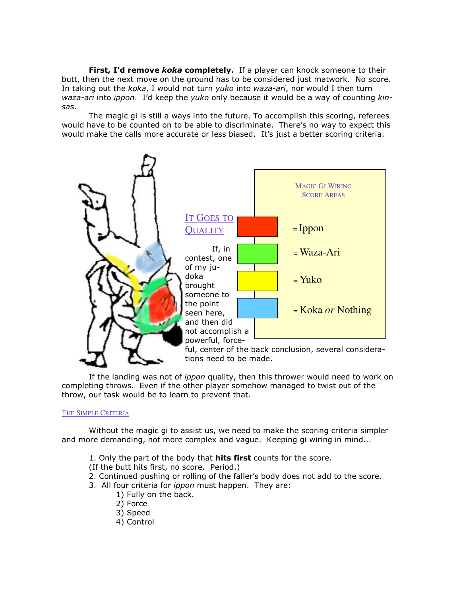First, I'd remove koka completely. If a player can knock someone to their butt, then the next move on the ground has to be considered just matwork. No score. In taking out the koka, I would not turn yuko into waza-ari, nor would I then turn waza-ari into ippon. I'd keep the yuko only because it would be a way of counting kinsas.

 The magic gi is still a ways into the future. To accomplish this scoring, referees would have to be counted on to be able to discriminate. There's no way to expect this would make the calls more accurate or less biased. It's just a better scoring criteria.



If the landing was not of *ippon* quality, then this thrower would need to work on completing throws. Even if the other player somehow managed to twist out of the throw, our task would be to learn to prevent that.

## THE SIMPLE CRITERIA

 Without the magic gi to assist us, we need to make the scoring criteria simpler and more demanding, not more complex and vague. Keeping gi wiring in mind...

- 1. Only the part of the body that **hits first** counts for the score.
- (If the butt hits first, no score. Period.)
- 2. Continued pushing or rolling of the faller's body does not add to the score.
- 3. All four criteria for *ippon* must happen. They are:
	- 1) Fully on the back.
	- 2) Force
	- 3) Speed
	- 4) Control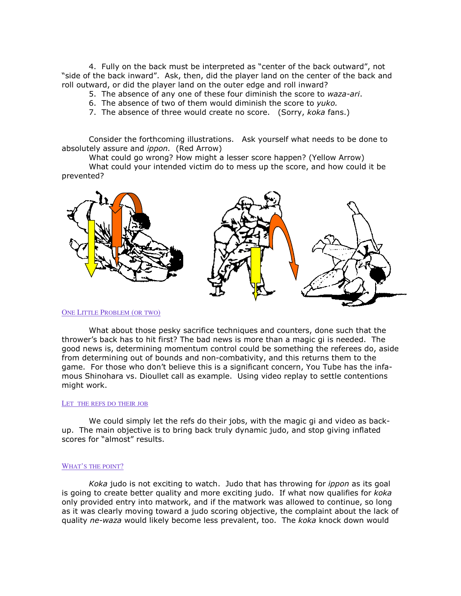4. Fully on the back must be interpreted as "center of the back outward", not "side of the back inward". Ask, then, did the player land on the center of the back and roll outward, or did the player land on the outer edge and roll inward?

- 5. The absence of any one of these four diminish the score to waza-ari.
- 6. The absence of two of them would diminish the score to yuko.
- 7. The absence of three would create no score. (Sorry, koka fans.)

 Consider the forthcoming illustrations. Ask yourself what needs to be done to absolutely assure and ippon. (Red Arrow)

What could go wrong? How might a lesser score happen? (Yellow Arrow)

 What could your intended victim do to mess up the score, and how could it be prevented?



### ONE LITTLE PROBLEM (OR TWO)

 What about those pesky sacrifice techniques and counters, done such that the thrower's back has to hit first? The bad news is more than a magic gi is needed. The good news is, determining momentum control could be something the referees do, aside from determining out of bounds and non-combativity, and this returns them to the game. For those who don't believe this is a significant concern, You Tube has the infamous Shinohara vs. Dioullet call as example. Using video replay to settle contentions might work.

#### LET THE REFS DO THEIR JOB

 We could simply let the refs do their jobs, with the magic gi and video as backup. The main objective is to bring back truly dynamic judo, and stop giving inflated scores for "almost" results.

### WHAT'S THE POINT?

Koka judo is not exciting to watch. Judo that has throwing for *ippon* as its goal is going to create better quality and more exciting judo. If what now qualifies for koka only provided entry into matwork, and if the matwork was allowed to continue, so long as it was clearly moving toward a judo scoring objective, the complaint about the lack of quality ne-waza would likely become less prevalent, too. The koka knock down would